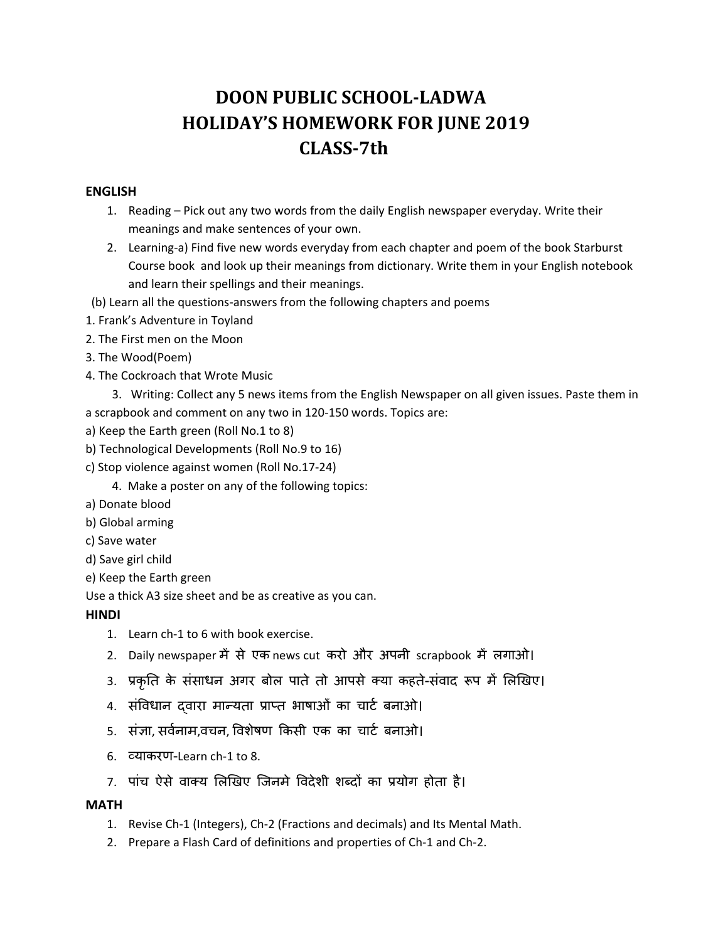# **DOON PUBLIC SCHOOL‐LADWA HOLIDAY'S HOMEWORK FOR JUNE 2019 CLASS‐7th**

### **ENGLISH**

- 1. Reading Pick out any two words from the daily English newspaper everyday. Write their meanings and make sentences of your own.
- 2. Learning‐a) Find five new words everyday from each chapter and poem of the book Starburst Course book and look up their meanings from dictionary. Write them in your English notebook and learn their spellings and their meanings.
- (b) Learn all the questions‐answers from the following chapters and poems
- 1. Frank's Adventure in Toyland
- 2. The First men on the Moon
- 3. The Wood(Poem)
- 4. The Cockroach that Wrote Music

 3. Writing: Collect any 5 news items from the English Newspaper on all given issues. Paste them in a scrapbook and comment on any two in 120‐150 words. Topics are:

- a) Keep the Earth green (Roll No.1 to 8)
- b) Technological Developments (Roll No.9 to 16)
- c) Stop violence against women (Roll No.17‐24)
	- 4. Make a poster on any of the following topics:
- a) Donate blood
- b) Global arming
- c) Save water
- d) Save girl child
- e) Keep the Earth green

Use a thick A3 size sheet and be as creative as you can.

# **HINDI**

- 1. Learn ch-1 to 6 with book exercise.
- 2. Daily newspaper में से एक news cut करो और अपनी scrapbook में लगाओ।
- 3. प्रकृति के संसाधन अगर बोल पाते तो आपसे क्या कहते-संवाद रूप में लिखिए।
- 4. संविधान दवारा मान्यता प्राप्त भाषाओँ का चार्ट बनाओ।
- 5. संज्ञा, सर्वनाम,वचन, विशेषण किसी एक का चार्ट बनाओ।
- 6. åयाकरण-Learn ch‐1 to 8.
- 7. पांच ऐसे वाक्य लिखिए जिनमे विदेशी शब्दों का प्रयोग होता है।

#### **MATH**

- 1. Revise Ch‐1 (Integers), Ch‐2 (Fractions and decimals) and Its Mental Math.
- 2. Prepare a Flash Card of definitions and properties of Ch‐1 and Ch‐2.